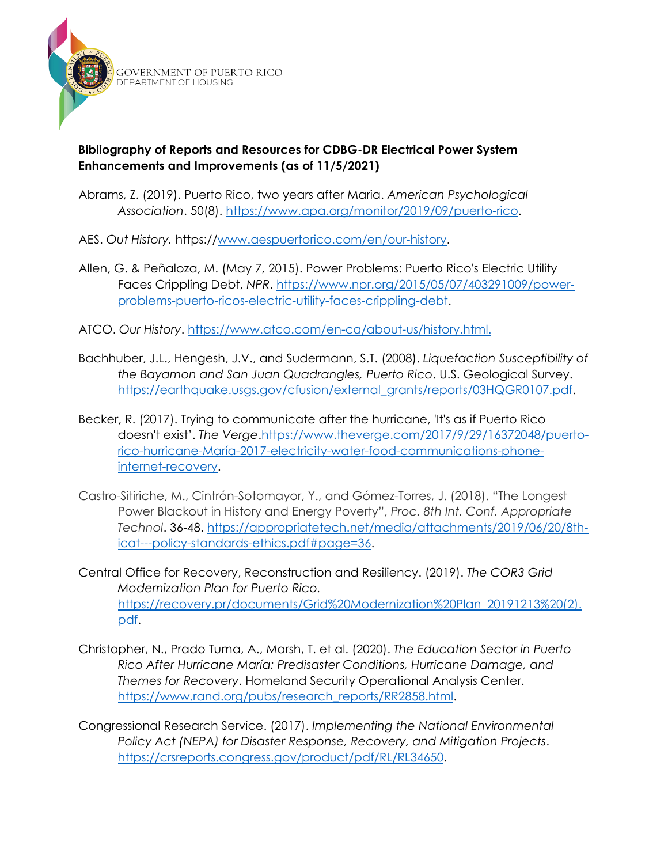

GOVERNMENT OF PUERTO RICO<br>department of housing

## **Bibliography of Reports and Resources for CDBG-DR Electrical Power System Enhancements and Improvements (as of 11/5/2021)**

- Abrams, Z. (2019). Puerto Rico, two years after Maria. *American Psychological Association*. 50(8). [https://www.apa.org/monitor/2019/09/puerto-rico.](https://www.apa.org/monitor/2019/09/puerto-rico)
- AES. *Out History.* https:/[/www.aespuertorico.com/en/our-history.](http://www.aespuertorico.com/en/our-history)
- Allen, G. & Peñaloza, M. (May 7, 2015). Power Problems: Puerto Rico's Electric Utility Faces Crippling Debt, *NPR*. [https://www.npr.org/2015/05/07/403291009/power](https://www.npr.org/2015/05/07/403291009/power-problems-puerto-ricos-electric-utility-faces-crippling-debt)[problems-puerto-ricos-electric-utility-faces-crippling-debt.](https://www.npr.org/2015/05/07/403291009/power-problems-puerto-ricos-electric-utility-faces-crippling-debt)
- ATCO. *Our History*.<https://www.atco.com/en-ca/about-us/history.html.>
- Bachhuber, J.L., Hengesh, J.V., and Sudermann, S.T. (2008). *Liquefaction Susceptibility of the Bayamon and San Juan Quadrangles, Puerto Rico*. U.S. Geological Survey. [https://earthquake.usgs.gov/cfusion/external\\_grants/reports/03HQGR0107.pdf.](https://earthquake.usgs.gov/cfusion/external_grants/reports/03HQGR0107.pdf)
- Becker, R. (2017). Trying to communicate after the hurricane, 'It's as if Puerto Rico doesn't exist'. *The Verge*[.https://www.theverge.com/2017/9/29/16372048/puerto](https://www.theverge.com/2017/9/29/16372048/puerto-rico-hurricane-maria-2017-electricity-water-food-communications-phone-internet-recovery)[rico-hurricane-María-2017-electricity-water-food-communications-phone](https://www.theverge.com/2017/9/29/16372048/puerto-rico-hurricane-maria-2017-electricity-water-food-communications-phone-internet-recovery)[internet-recovery.](https://www.theverge.com/2017/9/29/16372048/puerto-rico-hurricane-maria-2017-electricity-water-food-communications-phone-internet-recovery)
- Castro-Sitiriche, M., Cintrón-Sotomayor, Y., and Gómez-Torres, J. (2018). "The Longest Power Blackout in History and Energy Poverty", *Proc. 8th Int. Conf. Appropriate Technol*. 36-48. [https://appropriatetech.net/media/attachments/2019/06/20/8th](https://appropriatetech.net/media/attachments/2019/06/20/8th-icat---policy-standards-ethics.pdf#page=36)[icat---policy-standards-ethics.pdf#page=36.](https://appropriatetech.net/media/attachments/2019/06/20/8th-icat---policy-standards-ethics.pdf#page=36)
- Central Office for Recovery, Reconstruction and Resiliency. (2019). *The COR3 Grid Modernization Plan for Puerto Rico.* [https://recovery.pr/documents/Grid%20Modernization%20Plan\\_20191213%20\(2\).](https://recovery.pr/documents/Grid%20Modernization%20Plan_20191213%20(2).pdf) [pdf.](https://recovery.pr/documents/Grid%20Modernization%20Plan_20191213%20(2).pdf)
- Christopher, N., Prado Tuma, A., Marsh, T. et al. (2020). *The Education Sector in Puerto Rico After Hurricane María: Predisaster Conditions, Hurricane Damage, and Themes for Recovery*. Homeland Security Operational Analysis Center. [https://www.rand.org/pubs/research\\_reports/RR2858.html.](https://www.rand.org/pubs/research_reports/RR2858.html)
- Congressional Research Service. (2017). *Implementing the National Environmental Policy Act (NEPA) for Disaster Response, Recovery, and Mitigation Projects*. [https://crsreports.congress.gov/product/pdf/RL/RL34650.](https://crsreports.congress.gov/product/pdf/RL/RL34650)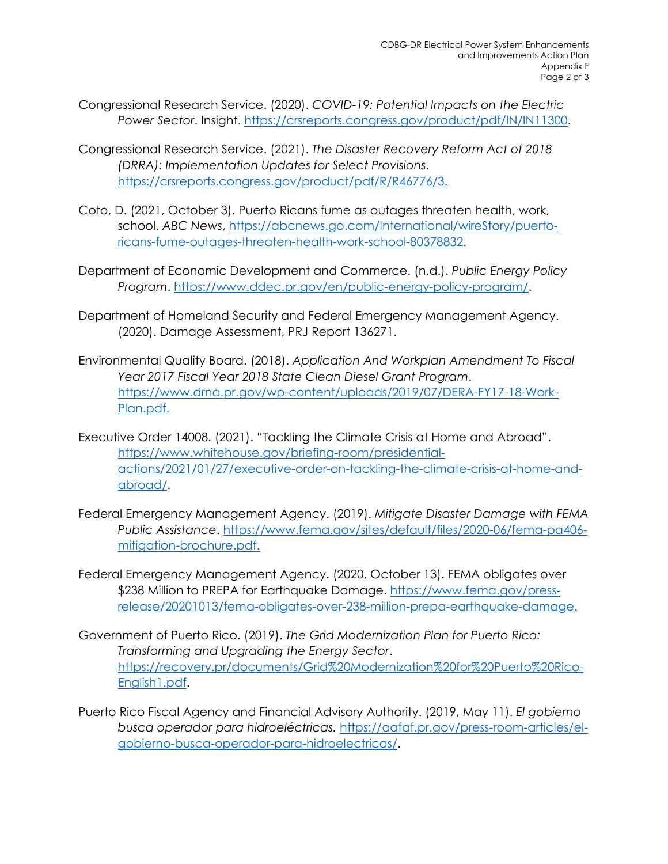- Congressional Research Service. (2020). *COVID-19: Potential Impacts on the Electric Power Sector*. Insight. [https://crsreports.congress.gov/product/pdf/IN/IN11300.](https://crsreports.congress.gov/product/pdf/IN/IN11300)
- Congressional Research Service. (2021). *The Disaster Recovery Reform Act of 2018 (DRRA): Implementation Updates for Select Provisions*. [https://crsreports.congress.gov/product/pdf/R/R46776/3.](https://crsreports.congress.gov/product/pdf/R/R46776/3)
- Coto, D. (2021, October 3). Puerto Ricans fume as outages threaten health, work, school. *ABC News*, [https://abcnews.go.com/International/wireStory/puerto](https://abcnews.go.com/International/wireStory/puerto-ricans-fume-outages-threaten-health-work-school-80378832)[ricans-fume-outages-threaten-health-work-school-80378832.](https://abcnews.go.com/International/wireStory/puerto-ricans-fume-outages-threaten-health-work-school-80378832)
- Department of Economic Development and Commerce. (n.d.). *Public Energy Policy Program*. [https://www.ddec.pr.gov/en/public-energy-policy-program/.](https://www.ddec.pr.gov/en/public-energy-policy-program/)
- Department of Homeland Security and Federal Emergency Management Agency. (2020). Damage Assessment, PRJ Report 136271.
- Environmental Quality Board. (2018). *Application And Workplan Amendment To Fiscal Year 2017 Fiscal Year 2018 State Clean Diesel Grant Program*. [https://www.drna.pr.gov/wp-content/uploads/2019/07/DERA-FY17-18-Work-](https://www.drna.pr.gov/wp-content/uploads/2019/07/DERA-FY17-18-Work-Plan.pdf)[Plan.pdf.](https://www.drna.pr.gov/wp-content/uploads/2019/07/DERA-FY17-18-Work-Plan.pdf)
- Executive Order 14008. (2021). "Tackling the Climate Crisis at Home and Abroad". [https://www.whitehouse.gov/briefing-room/presidential](https://www.whitehouse.gov/briefing-room/presidential-actions/2021/01/27/executive-order-on-tackling-the-climate-crisis-at-home-and-abroad/)[actions/2021/01/27/executive-order-on-tackling-the-climate-crisis-at-home-and](https://www.whitehouse.gov/briefing-room/presidential-actions/2021/01/27/executive-order-on-tackling-the-climate-crisis-at-home-and-abroad/)[abroad/.](https://www.whitehouse.gov/briefing-room/presidential-actions/2021/01/27/executive-order-on-tackling-the-climate-crisis-at-home-and-abroad/)
- Federal Emergency Management Agency. (2019). *Mitigate Disaster Damage with FEMA Public Assistance*. [https://www.fema.gov/sites/default/files/2020-06/fema-pa406](https://www.fema.gov/sites/default/files/2020-06/fema-pa406-mitigation-brochure.pdf) [mitigation-brochure.pdf.](https://www.fema.gov/sites/default/files/2020-06/fema-pa406-mitigation-brochure.pdf)
- Federal Emergency Management Agency. (2020, October 13). FEMA obligates over \$238 Million to PREPA for Earthquake Damage. [https://www.fema.gov/press](https://www.fema.gov/press-release/20201013/fema-obligates-over-238-million-prepa-earthquake-damage)[release/20201013/fema-obligates-over-238-million-prepa-earthquake-damage.](https://www.fema.gov/press-release/20201013/fema-obligates-over-238-million-prepa-earthquake-damage)
- Government of Puerto Rico. (2019). *The Grid Modernization Plan for Puerto Rico: Transforming and Upgrading the Energy Sector*. [https://recovery.pr/documents/Grid%20Modernization%20for%20Puerto%20Rico-](https://recovery.pr/documents/Grid%20Modernization%20for%20Puerto%20Rico-English1.pdf)[English1.pdf.](https://recovery.pr/documents/Grid%20Modernization%20for%20Puerto%20Rico-English1.pdf)
- Puerto Rico Fiscal Agency and Financial Advisory Authority. (2019, May 11). *El gobierno busca operador para hidroeléctricas.* [https://aafaf.pr.gov/press-room-articles/el](https://aafaf.pr.gov/press-room-articles/el-gobierno-busca-operador-para-hidroelectricas/)[gobierno-busca-operador-para-hidroelectricas/.](https://aafaf.pr.gov/press-room-articles/el-gobierno-busca-operador-para-hidroelectricas/)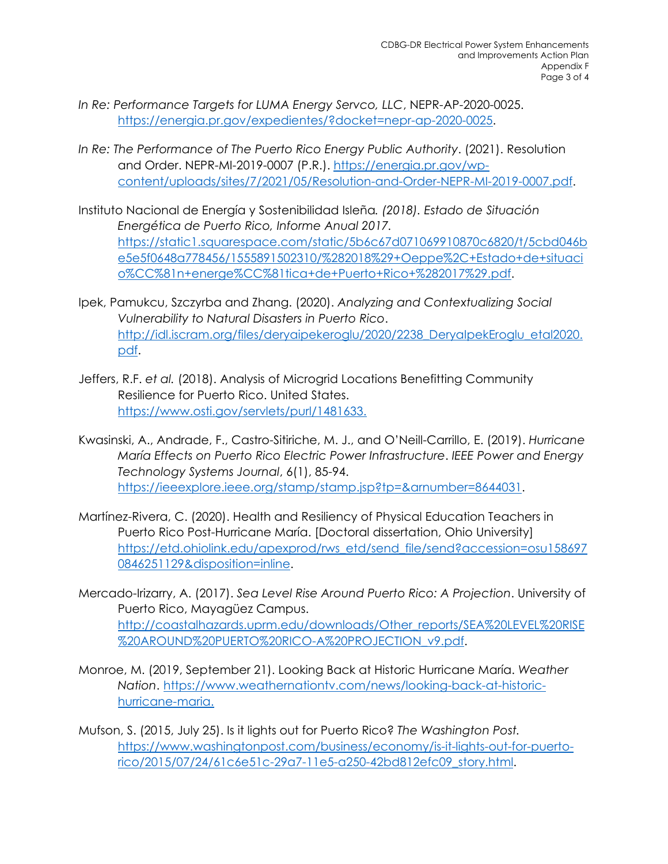- *In Re: Performance Targets for LUMA Energy Servco, LLC*, NEPR-AP-2020-0025. [https://energia.pr.gov/expedientes/?docket=nepr-ap-2020-0025.](https://energia.pr.gov/expedientes/?docket=nepr-ap-2020-0025)
- *In Re: The Performance of The Puerto Rico Energy Public Authority*. (2021). Resolution and Order. NEPR-MI-2019-0007 (P.R.). [https://energia.pr.gov/wp](https://energia.pr.gov/wp-content/uploads/sites/7/2021/05/Resolution-and-Order-NEPR-MI-2019-0007.pdf)[content/uploads/sites/7/2021/05/Resolution-and-Order-NEPR-MI-2019-0007.pdf.](https://energia.pr.gov/wp-content/uploads/sites/7/2021/05/Resolution-and-Order-NEPR-MI-2019-0007.pdf)
- Instituto Nacional de Energía y Sostenibilidad Isleña*. (2018). Estado de Situación Energética de Puerto Rico, Informe Anual 2017.*  [https://static1.squarespace.com/static/5b6c67d071069910870c6820/t/5cbd046b](https://static1.squarespace.com/static/5b6c67d071069910870c6820/t/5cbd046be5e5f0648a778456/1555891502310/%282018%29+Oeppe%2C+Estado+de+situacio%CC%81n+energe%CC%81tica+de+Puerto+Rico+%282017%29.pdf) [e5e5f0648a778456/1555891502310/%282018%29+Oeppe%2C+Estado+de+situaci](https://static1.squarespace.com/static/5b6c67d071069910870c6820/t/5cbd046be5e5f0648a778456/1555891502310/%282018%29+Oeppe%2C+Estado+de+situacio%CC%81n+energe%CC%81tica+de+Puerto+Rico+%282017%29.pdf) [o%CC%81n+energe%CC%81tica+de+Puerto+Rico+%282017%29.pdf.](https://static1.squarespace.com/static/5b6c67d071069910870c6820/t/5cbd046be5e5f0648a778456/1555891502310/%282018%29+Oeppe%2C+Estado+de+situacio%CC%81n+energe%CC%81tica+de+Puerto+Rico+%282017%29.pdf)
- Ipek, Pamukcu, Szczyrba and Zhang. (2020). *Analyzing and Contextualizing Social Vulnerability to Natural Disasters in Puerto Rico*. [http://idl.iscram.org/files/deryaipekeroglu/2020/2238\\_DeryaIpekEroglu\\_etal2020.](http://idl.iscram.org/files/deryaipekeroglu/2020/2238_DeryaIpekEroglu_etal2020.pdf) [pdf.](http://idl.iscram.org/files/deryaipekeroglu/2020/2238_DeryaIpekEroglu_etal2020.pdf)
- Jeffers, R.F. *et al.* (2018). Analysis of Microgrid Locations Benefitting Community Resilience for Puerto Rico. United States. [https://www.osti.gov/servlets/purl/1481633.](https://www.osti.gov/servlets/purl/1481633)
- Kwasinski, A., Andrade, F., Castro-Sitiriche, M. J., and O'Neill-Carrillo, E. (2019). *Hurricane María Effects on Puerto Rico Electric Power Infrastructure*. *IEEE Power and Energy Technology Systems Journal*, 6(1), 85-94. [https://ieeexplore.ieee.org/stamp/stamp.jsp?tp=&arnumber=8644031.](https://ieeexplore.ieee.org/stamp/stamp.jsp?tp=&arnumber=8644031)
- Martínez-Rivera, C. (2020). Health and Resiliency of Physical Education Teachers in Puerto Rico Post-Hurricane María. [Doctoral dissertation, Ohio University] [https://etd.ohiolink.edu/apexprod/rws\\_etd/send\\_file/send?accession=osu158697](https://etd.ohiolink.edu/apexprod/rws_etd/send_file/send?accession=osu1586970846251129&disposition=inline) [0846251129&disposition=inline.](https://etd.ohiolink.edu/apexprod/rws_etd/send_file/send?accession=osu1586970846251129&disposition=inline)
- Mercado-Irizarry, A. (2017). *Sea Level Rise Around Puerto Rico: A Projection*. University of Puerto Rico, Mayagüez Campus. [http://coastalhazards.uprm.edu/downloads/Other\\_reports/SEA%20LEVEL%20RISE](http://coastalhazards.uprm.edu/downloads/Other_reports/SEA%20LEVEL%20RISE%20AROUND%20PUERTO%20RICO-A%20PROJECTION_v9.pdf) [%20AROUND%20PUERTO%20RICO-A%20PROJECTION\\_v9.pdf.](http://coastalhazards.uprm.edu/downloads/Other_reports/SEA%20LEVEL%20RISE%20AROUND%20PUERTO%20RICO-A%20PROJECTION_v9.pdf)
- Monroe, M. (2019, September 21). Looking Back at Historic Hurricane María. *Weather Nation*. [https://www.weathernationtv.com/news/looking-back-at-historic](https://www.weathernationtv.com/news/looking-back-at-historic-hurricane-maria)[hurricane-maria.](https://www.weathernationtv.com/news/looking-back-at-historic-hurricane-maria)
- Mufson, S. (2015, July 25). Is it lights out for Puerto Rico? *The Washington Post.* [https://www.washingtonpost.com/business/economy/is-it-lights-out-for-puerto](https://www.washingtonpost.com/business/economy/is-it-lights-out-for-puerto-rico/2015/07/24/61c6e51c-29a7-11e5-a250-42bd812efc09_story.html)[rico/2015/07/24/61c6e51c-29a7-11e5-a250-42bd812efc09\\_story.html.](https://www.washingtonpost.com/business/economy/is-it-lights-out-for-puerto-rico/2015/07/24/61c6e51c-29a7-11e5-a250-42bd812efc09_story.html)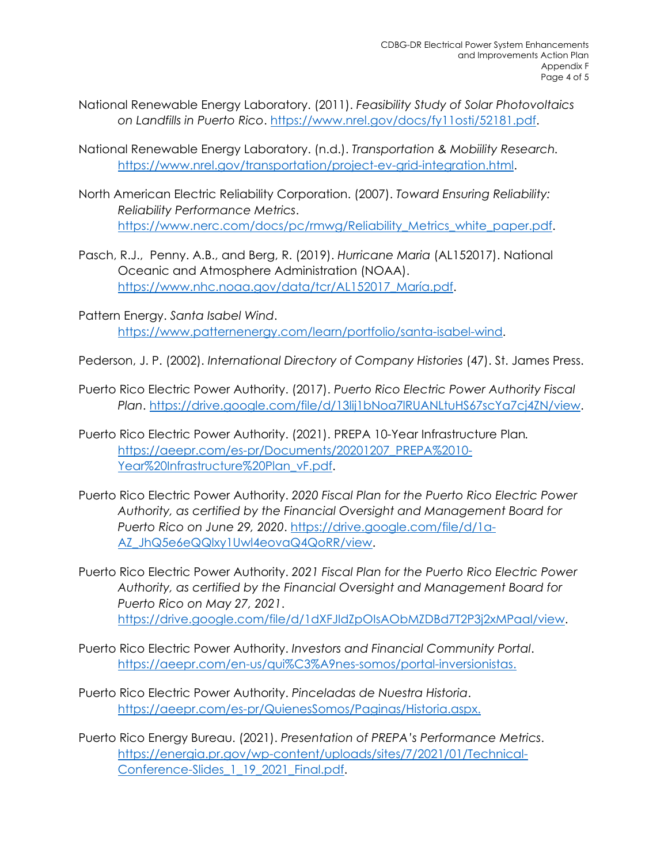- National Renewable Energy Laboratory. (2011). *Feasibility Study of Solar Photovoltaics on Landfills in Puerto Rico*. [https://www.nrel.gov/docs/fy11osti/52181.pdf.](https://www.nrel.gov/docs/fy11osti/52181.pdf)
- National Renewable Energy Laboratory. (n.d.). *Transportation & Mobiility Research.* [https://www.nrel.gov/transportation/project-ev-grid-integration.html.](https://www.nrel.gov/transportation/project-ev-grid-integration.html)
- North American Electric Reliability Corporation. (2007). *Toward Ensuring Reliability: Reliability Performance Metrics*. [https://www.nerc.com/docs/pc/rmwg/Reliability\\_Metrics\\_white\\_paper.pdf.](https://www.nerc.com/docs/pc/rmwg/Reliability_Metrics_white_paper.pdf)
- Pasch, R.J., Penny. A.B., and Berg, R. (2019). *Hurricane Maria* (AL152017). National Oceanic and Atmosphere Administration (NOAA). [https://www.nhc.noaa.gov/data/tcr/AL152017\\_María.pdf.](https://www.nhc.noaa.gov/data/tcr/AL152017_Maria.pdf)
- Pattern Energy. *Santa Isabel Wind*. [https://www.patternenergy.com/learn/portfolio/santa-isabel-wind.](https://www.patternenergy.com/learn/portfolio/santa-isabel-wind)

Pederson, J. P. (2002). *International Directory of Company Histories* (47). St. James Press.

- Puerto Rico Electric Power Authority. (2017). *Puerto Rico Electric Power Authority Fiscal Plan*. [https://drive.google.com/file/d/13lij1bNoa7lRUANLtuHS67scYa7cj4ZN/view.](https://drive.google.com/file/d/13lij1bNoa7lRUANLtuHS67scYa7cj4ZN/view)
- Puerto Rico Electric Power Authority. (2021). PREPA 10-Year Infrastructure Plan*.* [https://aeepr.com/es-pr/Documents/20201207\\_PREPA%2010-](https://aeepr.com/es-pr/Documents/20201207_PREPA%2010-Year%20Infrastructure%20Plan_vF.pdf) [Year%20Infrastructure%20Plan\\_vF.pdf.](https://aeepr.com/es-pr/Documents/20201207_PREPA%2010-Year%20Infrastructure%20Plan_vF.pdf)
- Puerto Rico Electric Power Authority. *2020 Fiscal Plan for the Puerto Rico Electric Power Authority, as certified by the Financial Oversight and Management Board for Puerto Rico on June 29, 2020*. [https://drive.google.com/file/d/1a-](https://drive.google.com/file/d/1a-AZ_JhQ5e6eQQlxy1Uwl4eovaQ4QoRR/view)[AZ\\_JhQ5e6eQQlxy1Uwl4eovaQ4QoRR/view.](https://drive.google.com/file/d/1a-AZ_JhQ5e6eQQlxy1Uwl4eovaQ4QoRR/view)
- Puerto Rico Electric Power Authority. *2021 Fiscal Plan for the Puerto Rico Electric Power Authority, as certified by the Financial Oversight and Management Board for Puerto Rico on May 27, 2021*. [https://drive.google.com/file/d/1dXFJldZpOIsAObMZDBd7T2P3j2xMPaal/view.](https://drive.google.com/file/d/1dXFJldZpOIsAObMZDBd7T2P3j2xMPaal/view)
- Puerto Rico Electric Power Authority. *Investors and Financial Community Portal*. [https://aeepr.com/en-us/qui%C3%A9nes-somos/portal-inversionistas.](https://aeepr.com/en-us/qui%C3%A9nes-somos/portal-inversionistas)
- Puerto Rico Electric Power Authority. *Pinceladas de Nuestra Historia*. [https://aeepr.com/es-pr/QuienesSomos/Paginas/Historia.aspx.](https://aeepr.com/es-pr/QuienesSomos/Paginas/Historia.aspx)
- Puerto Rico Energy Bureau. (2021). *Presentation of PREPA's Performance Metrics*. [https://energia.pr.gov/wp-content/uploads/sites/7/2021/01/Technical-](https://energia.pr.gov/wp-content/uploads/sites/7/2021/01/Technical-Conference-Slides_1_19_2021_Final.pdf)Conference-Slides 1 19 2021 Final.pdf.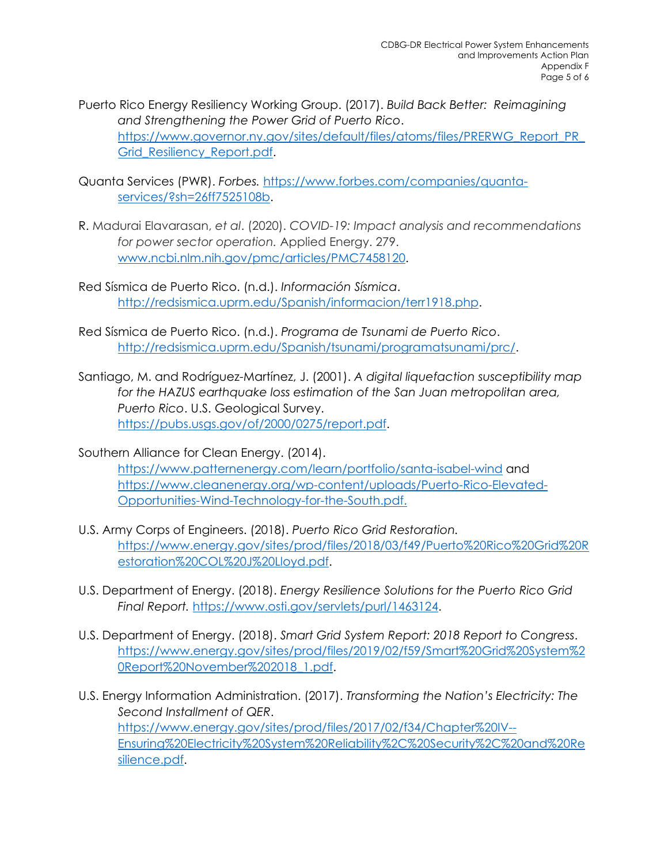Puerto Rico Energy Resiliency Working Group. (2017). *Build Back Better: Reimagining and Strengthening the Power Grid of Puerto Rico*. [https://www.governor.ny.gov/sites/default/files/atoms/files/PRERWG\\_Report\\_PR\\_](https://www.governor.ny.gov/sites/default/files/atoms/files/PRERWG_Report_PR_Grid_Resiliency_Report.pdf) [Grid\\_Resiliency\\_Report.pdf.](https://www.governor.ny.gov/sites/default/files/atoms/files/PRERWG_Report_PR_Grid_Resiliency_Report.pdf)

- Quanta Services (PWR). *Forbes.* [https://www.forbes.com/companies/quanta](https://www.forbes.com/companies/quanta-services/?sh=26ff7525108b)[services/?sh=26ff7525108b.](https://www.forbes.com/companies/quanta-services/?sh=26ff7525108b)
- R. Madurai Elavarasan, *et al*. (2020). *COVID-19: Impact analysis and recommendations for power sector operation.* Applied Energy. 279. [www.ncbi.nlm.nih.gov/pmc/articles/PMC7458120.](http://www.ncbi.nlm.nih.gov/pmc/articles/PMC7458120)
- Red Sísmica de Puerto Rico. (n.d.). *Información Sísmica*. [http://redsismica.uprm.edu/Spanish/informacion/terr1918.php.](http://redsismica.uprm.edu/Spanish/informacion/terr1918.php)
- Red Sísmica de Puerto Rico. (n.d.). *Programa de Tsunami de Puerto Rico*. [http://redsismica.uprm.edu/Spanish/tsunami/programatsunami/prc/.](http://redsismica.uprm.edu/Spanish/tsunami/programatsunami/prc/)
- Santiago, M. and Rodríguez-Martínez, J. (2001). *A digital liquefaction susceptibility map for the HAZUS earthquake loss estimation of the San Juan metropolitan area, Puerto Rico*. U.S. Geological Survey. [https://pubs.usgs.gov/of/2000/0275/report.pdf.](https://pubs.usgs.gov/of/2000/0275/report.pdf)
- Southern Alliance for Clean Energy. (2014). <https://www.patternenergy.com/learn/portfolio/santa-isabel-wind> and [https://www.cleanenergy.org/wp-content/uploads/Puerto-Rico-Elevated-](https://www.cleanenergy.org/wp-content/uploads/Puerto-Rico-Elevated-Opportunities-Wind-Technology-for-the-South.pdf)[Opportunities-Wind-Technology-for-the-South.pdf.](https://www.cleanenergy.org/wp-content/uploads/Puerto-Rico-Elevated-Opportunities-Wind-Technology-for-the-South.pdf)
- U.S. Army Corps of Engineers. (2018). *Puerto Rico Grid Restoration.*  [https://www.energy.gov/sites/prod/files/2018/03/f49/Puerto%20Rico%20Grid%20R](https://www.energy.gov/sites/prod/files/2018/03/f49/Puerto%20Rico%20Grid%20Restoration%20COL%20J%20Lloyd.pdf) [estoration%20COL%20J%20Lloyd.pdf.](https://www.energy.gov/sites/prod/files/2018/03/f49/Puerto%20Rico%20Grid%20Restoration%20COL%20J%20Lloyd.pdf)
- U.S. Department of Energy. (2018). *Energy Resilience Solutions for the Puerto Rico Grid Final Report.* [https://www.osti.gov/servlets/purl/1463124.](https://www.osti.gov/servlets/purl/1463124)
- U.S. Department of Energy. (2018). *Smart Grid System Report: 2018 Report to Congress*. [https://www.energy.gov/sites/prod/files/2019/02/f59/Smart%20Grid%20System%2](https://www.energy.gov/sites/prod/files/2019/02/f59/Smart%20Grid%20System%20Report%20November%202018_1.pdf) [0Report%20November%202018\\_1.pdf.](https://www.energy.gov/sites/prod/files/2019/02/f59/Smart%20Grid%20System%20Report%20November%202018_1.pdf)
- U.S. Energy Information Administration. (2017). *Transforming the Nation's Electricity: The Second Installment of QER*. [https://www.energy.gov/sites/prod/files/2017/02/f34/Chapter%20IV--](https://www.energy.gov/sites/prod/files/2017/02/f34/Chapter%20IV--Ensuring%20Electricity%20System%20Reliability%2C%20Security%2C%20and%20Resilience.pdf) [Ensuring%20Electricity%20System%20Reliability%2C%20Security%2C%20and%20Re](https://www.energy.gov/sites/prod/files/2017/02/f34/Chapter%20IV--Ensuring%20Electricity%20System%20Reliability%2C%20Security%2C%20and%20Resilience.pdf) [silience.pdf.](https://www.energy.gov/sites/prod/files/2017/02/f34/Chapter%20IV--Ensuring%20Electricity%20System%20Reliability%2C%20Security%2C%20and%20Resilience.pdf)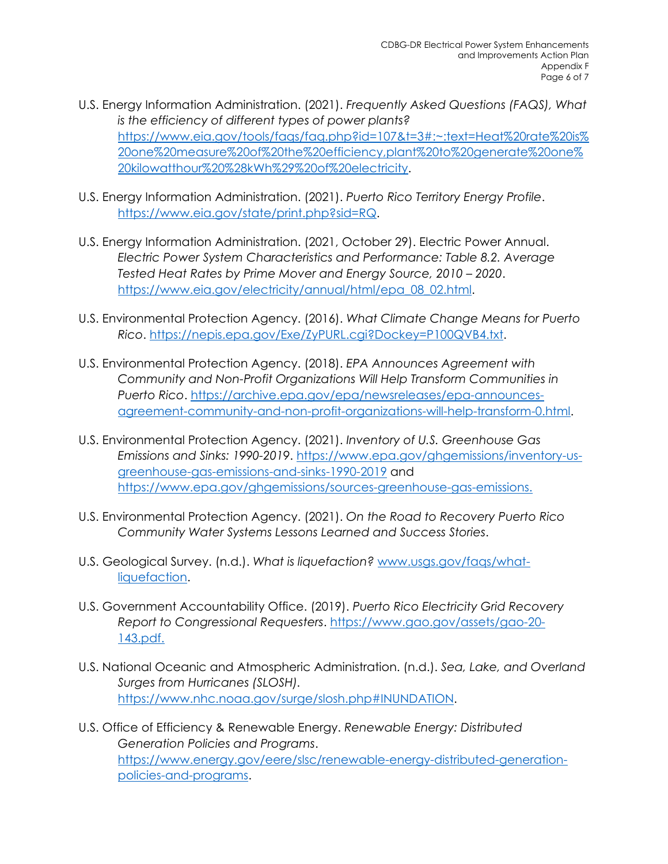- U.S. Energy Information Administration. (2021). *Frequently Asked Questions (FAQS), What is the efficiency of different types of power plants?* [https://www.eia.gov/tools/faqs/faq.php?id=107&t=3#:~:text=Heat%20rate%20is%](https://www.eia.gov/tools/faqs/faq.php?id=107&t=3#:%7E:text=Heat%20rate%20is%20one%20measure%20of%20the%20efficiency,plant%20to%20generate%20one%20kilowatthour%20%28kWh%29%20of%20electricity) [20one%20measure%20of%20the%20efficiency,plant%20to%20generate%20one%](https://www.eia.gov/tools/faqs/faq.php?id=107&t=3#:%7E:text=Heat%20rate%20is%20one%20measure%20of%20the%20efficiency,plant%20to%20generate%20one%20kilowatthour%20%28kWh%29%20of%20electricity) [20kilowatthour%20%28kWh%29%20of%20electricity.](https://www.eia.gov/tools/faqs/faq.php?id=107&t=3#:%7E:text=Heat%20rate%20is%20one%20measure%20of%20the%20efficiency,plant%20to%20generate%20one%20kilowatthour%20%28kWh%29%20of%20electricity)
- U.S. Energy Information Administration. (2021). *Puerto Rico Territory Energy Profile*. [https://www.eia.gov/state/print.php?sid=RQ.](https://www.eia.gov/state/print.php?sid=RQ)
- U.S. Energy Information Administration. (2021, October 29). Electric Power Annual. *Electric Power System Characteristics and Performance: Table 8.2. Average Tested Heat Rates by Prime Mover and Energy Source, 2010 – 2020*. [https://www.eia.gov/electricity/annual/html/epa\\_08\\_02.html.](https://www.eia.gov/electricity/annual/html/epa_08_02.html)
- U.S. Environmental Protection Agency. (2016). *What Climate Change Means for Puerto Rico*. [https://nepis.epa.gov/Exe/ZyPURL.cgi?Dockey=P100QVB4.txt.](https://nepis.epa.gov/Exe/ZyPURL.cgi?Dockey=P100QVB4.txt)
- U.S. Environmental Protection Agency. (2018). *EPA Announces Agreement with Community and Non-Profit Organizations Will Help Transform Communities in Puerto Rico*. [https://archive.epa.gov/epa/newsreleases/epa-announces](https://archive.epa.gov/epa/newsreleases/epa-announces-agreement-community-and-non-profit-organizations-will-help-transform-0.html)[agreement-community-and-non-profit-organizations-will-help-transform-0.html.](https://archive.epa.gov/epa/newsreleases/epa-announces-agreement-community-and-non-profit-organizations-will-help-transform-0.html)
- U.S. Environmental Protection Agency. (2021). *Inventory of U.S. Greenhouse Gas Emissions and Sinks: 1990-2019*. [https://www.epa.gov/ghgemissions/inventory-us](https://www.epa.gov/ghgemissions/inventory-us-greenhouse-gas-emissions-and-sinks-1990-2019)[greenhouse-gas-emissions-and-sinks-1990-2019](https://www.epa.gov/ghgemissions/inventory-us-greenhouse-gas-emissions-and-sinks-1990-2019) and [https://www.epa.gov/ghgemissions/sources-greenhouse-gas-emissions.](https://www.epa.gov/ghgemissions/sources-greenhouse-gas-emissions)
- U.S. Environmental Protection Agency. (2021). *On the Road to Recovery Puerto Rico Community Water Systems Lessons Learned and Success Stories*.
- U.S. Geological Survey. (n.d.). *What is liquefaction?* [www.usgs.gov/faqs/what](http://www.usgs.gov/faqs/what-liquefaction)[liquefaction.](http://www.usgs.gov/faqs/what-liquefaction)
- U.S. Government Accountability Office. (2019). *Puerto Rico Electricity Grid Recovery Report to Congressional Requesters*. [https://www.gao.gov/assets/gao-20-](https://www.gao.gov/assets/gao-20-143.pdf) [143.pdf.](https://www.gao.gov/assets/gao-20-143.pdf)
- U.S. National Oceanic and Atmospheric Administration. (n.d.). *Sea, Lake, and Overland Surges from Hurricanes (SLOSH).*  [https://www.nhc.noaa.gov/surge/slosh.php#INUNDATION.](https://www.nhc.noaa.gov/surge/slosh.php#INUNDATION)
- U.S. Office of Efficiency & Renewable Energy. *Renewable Energy: Distributed Generation Policies and Programs*. [https://www.energy.gov/eere/slsc/renewable-energy-distributed-generation](https://www.energy.gov/eere/slsc/renewable-energy-distributed-generation-policies-and-programs)[policies-and-programs.](https://www.energy.gov/eere/slsc/renewable-energy-distributed-generation-policies-and-programs)